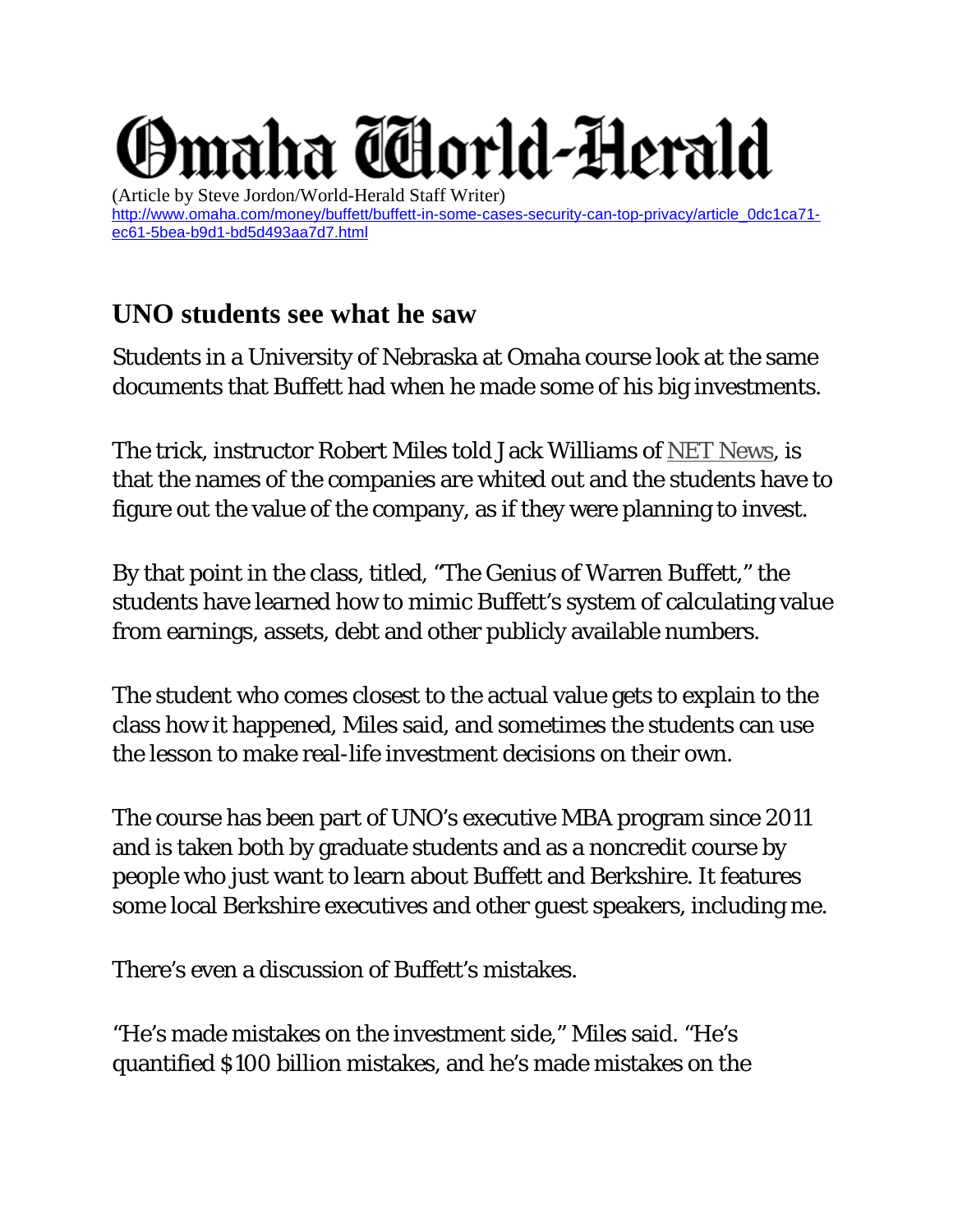## maha Tdorld-Herald

(Article by Steve Jordon/World-Herald Staff Writer) [http://www.omaha.com/money/buffett/buffett-in-some-cases-security-can-top-privacy/article\\_0dc1ca71](http://www.omaha.com/money/buffett/buffett-in-some-cases-security-can-top-privacy/article_0dc1ca71-ec61-5bea-b9d1-bd5d493aa7d7.html) [ec61-5bea-b9d1-bd5d493aa7d7.html](http://www.omaha.com/money/buffett/buffett-in-some-cases-security-can-top-privacy/article_0dc1ca71-ec61-5bea-b9d1-bd5d493aa7d7.html)

## **UNO students see what he saw**

Students in a University of Nebraska at Omaha course look at the same documents that Buffett had when he made some of his big investments.

The trick, instructor Robert Miles told Jack Williams of [NET News,](http://netnebraska.org/article/news/1042979/studying-genius-warren-buffett) is that the names of the companies are whited out and the students have to figure out the value of the company, as if they were planning to invest.

By that point in the class, titled, "The Genius of Warren Buffett," the students have learned how to mimic Buffett's system of calculating value from earnings, assets, debt and other publicly available numbers.

The student who comes closest to the actual value gets to explain to the class how it happened, Miles said, and sometimes the students can use the lesson to make real-life investment decisions on their own.

The course has been part of UNO's executive MBA program since 2011 and is taken both by graduate students and as a noncredit course by people who just want to learn about Buffett and Berkshire. It features some local Berkshire executives and other guest speakers, including me.

There's even a discussion of Buffett's mistakes.

"He's made mistakes on the investment side," Miles said. "He's quantified \$100 billion mistakes, and he's made mistakes on the